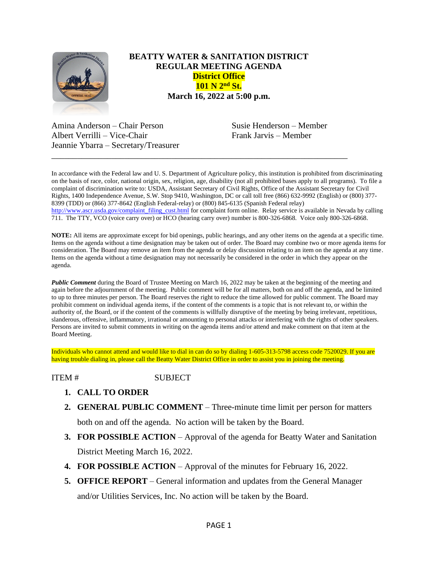

## **BEATTY WATER & SANITATION DISTRICT REGULAR MEETING AGENDA District Office 101 N 2nd St. March 16, 2022 at 5:00 p.m.**

Amina Anderson – Chair Person Susie Henderson – Member Albert Verrilli – Vice-Chair Frank Jarvis – Member Jeannie Ybarra – Secretary/Treasurer

In accordance with the Federal law and U. S. Department of Agriculture policy, this institution is prohibited from discriminating on the basis of race, color, national origin, sex, religion, age, disability (not all prohibited bases apply to all programs). To file a complaint of discrimination write to: USDA, Assistant Secretary of Civil Rights, Office of the Assistant Secretary for Civil Rights, 1400 Independence Avenue, S.W. Stop 9410, Washington, DC or call toll free (866) 632-9992 (English) or (800) 377- 8399 (TDD) or (866) 377-8642 (English Federal-relay) or (800) 845-6135 (Spanish Federal relay) [http://www.ascr.usda.gov/complaint\\_filing\\_cust.html](http://www.ascr.usda.gov/complaint_filing_cust.html) for complaint form online. Relay service is available in Nevada by calling 711. The TTY, VCO (voice carry over) or HCO (hearing carry over) number is 800-326-6868. Voice only 800-326-6868.

\_\_\_\_\_\_\_\_\_\_\_\_\_\_\_\_\_\_\_\_\_\_\_\_\_\_\_\_\_\_\_\_\_\_\_\_\_\_\_\_\_\_\_\_\_\_\_\_\_\_\_\_\_\_\_\_\_\_\_\_\_\_\_\_\_\_\_\_\_

**NOTE:** All items are approximate except for bid openings, public hearings, and any other items on the agenda at a specific time. Items on the agenda without a time designation may be taken out of order. The Board may combine two or more agenda items for consideration. The Board may remove an item from the agenda or delay discussion relating to an item on the agenda at any time. Items on the agenda without a time designation may not necessarily be considered in the order in which they appear on the agenda.

*Public Comment* during the Board of Trustee Meeting on March 16, 2022 may be taken at the beginning of the meeting and again before the adjournment of the meeting. Public comment will be for all matters, both on and off the agenda, and be limited to up to three minutes per person. The Board reserves the right to reduce the time allowed for public comment. The Board may prohibit comment on individual agenda items, if the content of the comments is a topic that is not relevant to, or within the authority of, the Board, or if the content of the comments is willfully disruptive of the meeting by being irrelevant, repetitious, slanderous, offensive, inflammatory, irrational or amounting to personal attacks or interfering with the rights of other speakers. Persons are invited to submit comments in writing on the agenda items and/or attend and make comment on that item at the Board Meeting.

Individuals who cannot attend and would like to dial in can do so by dialing 1-605-313-5798 access code 7520029. If you are having trouble dialing in, please call the Beatty Water District Office in order to assist you in joining the meeting.

## ITEM # SUBJECT

- **1. CALL TO ORDER**
- **2. GENERAL PUBLIC COMMENT** Three-minute time limit per person for matters both on and off the agenda. No action will be taken by the Board.
- **3. FOR POSSIBLE ACTION** Approval of the agenda for Beatty Water and Sanitation

District Meeting March 16, 2022.

- **4. FOR POSSIBLE ACTION** Approval of the minutes for February 16, 2022.
- **5. OFFICE REPORT**  General information and updates from the General Manager and/or Utilities Services, Inc. No action will be taken by the Board.